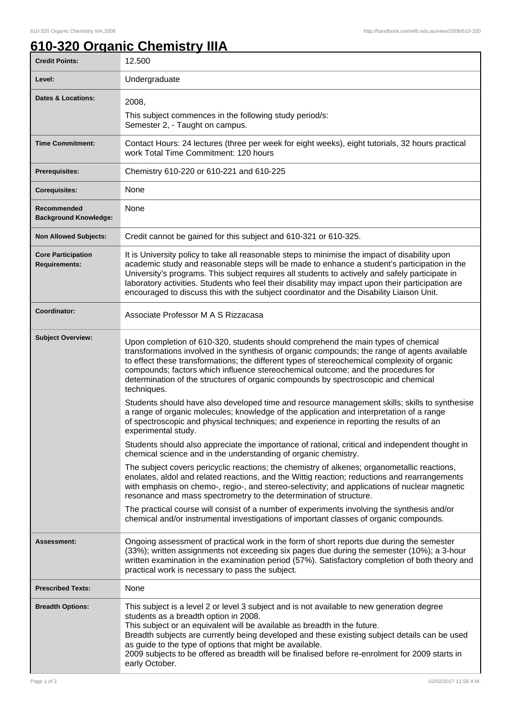## **610-320 Organic Chemistry IIIA**

| <b>Credit Points:</b>                             | 12.500                                                                                                                                                                                                                                                                                                                                                                                                                                                                                             |
|---------------------------------------------------|----------------------------------------------------------------------------------------------------------------------------------------------------------------------------------------------------------------------------------------------------------------------------------------------------------------------------------------------------------------------------------------------------------------------------------------------------------------------------------------------------|
| Level:                                            | Undergraduate                                                                                                                                                                                                                                                                                                                                                                                                                                                                                      |
| <b>Dates &amp; Locations:</b>                     | 2008,                                                                                                                                                                                                                                                                                                                                                                                                                                                                                              |
|                                                   | This subject commences in the following study period/s:<br>Semester 2, - Taught on campus.                                                                                                                                                                                                                                                                                                                                                                                                         |
| <b>Time Commitment:</b>                           | Contact Hours: 24 lectures (three per week for eight weeks), eight tutorials, 32 hours practical<br>work Total Time Commitment: 120 hours                                                                                                                                                                                                                                                                                                                                                          |
| <b>Prerequisites:</b>                             | Chemistry 610-220 or 610-221 and 610-225                                                                                                                                                                                                                                                                                                                                                                                                                                                           |
| <b>Corequisites:</b>                              | None                                                                                                                                                                                                                                                                                                                                                                                                                                                                                               |
| Recommended<br><b>Background Knowledge:</b>       | None                                                                                                                                                                                                                                                                                                                                                                                                                                                                                               |
| <b>Non Allowed Subjects:</b>                      | Credit cannot be gained for this subject and 610-321 or 610-325.                                                                                                                                                                                                                                                                                                                                                                                                                                   |
| <b>Core Participation</b><br><b>Requirements:</b> | It is University policy to take all reasonable steps to minimise the impact of disability upon<br>academic study and reasonable steps will be made to enhance a student's participation in the<br>University's programs. This subject requires all students to actively and safely participate in<br>laboratory activities. Students who feel their disability may impact upon their participation are<br>encouraged to discuss this with the subject coordinator and the Disability Liaison Unit. |
| Coordinator:                                      | Associate Professor M A S Rizzacasa                                                                                                                                                                                                                                                                                                                                                                                                                                                                |
| <b>Subject Overview:</b>                          | Upon completion of 610-320, students should comprehend the main types of chemical<br>transformations involved in the synthesis of organic compounds; the range of agents available<br>to effect these transformations; the different types of stereochemical complexity of organic<br>compounds; factors which influence stereochemical outcome; and the procedures for<br>determination of the structures of organic compounds by spectroscopic and chemical<br>techniques.                       |
|                                                   | Students should have also developed time and resource management skills; skills to synthesise<br>a range of organic molecules; knowledge of the application and interpretation of a range<br>of spectroscopic and physical techniques; and experience in reporting the results of an<br>experimental study.                                                                                                                                                                                        |
|                                                   | Students should also appreciate the importance of rational, critical and independent thought in<br>chemical science and in the understanding of organic chemistry.                                                                                                                                                                                                                                                                                                                                 |
|                                                   | The subject covers pericyclic reactions; the chemistry of alkenes; organometallic reactions,<br>enolates, aldol and related reactions, and the Wittig reaction; reductions and rearrangements<br>with emphasis on chemo-, regio-, and stereo-selectivity; and applications of nuclear magnetic<br>resonance and mass spectrometry to the determination of structure.                                                                                                                               |
|                                                   | The practical course will consist of a number of experiments involving the synthesis and/or<br>chemical and/or instrumental investigations of important classes of organic compounds.                                                                                                                                                                                                                                                                                                              |
| <b>Assessment:</b>                                | Ongoing assessment of practical work in the form of short reports due during the semester<br>(33%); written assignments not exceeding six pages due during the semester (10%); a 3-hour<br>written examination in the examination period (57%). Satisfactory completion of both theory and<br>practical work is necessary to pass the subject.                                                                                                                                                     |
| <b>Prescribed Texts:</b>                          | None                                                                                                                                                                                                                                                                                                                                                                                                                                                                                               |
| <b>Breadth Options:</b>                           | This subject is a level 2 or level 3 subject and is not available to new generation degree<br>students as a breadth option in 2008.<br>This subject or an equivalent will be available as breadth in the future.<br>Breadth subjects are currently being developed and these existing subject details can be used<br>as guide to the type of options that might be available.<br>2009 subjects to be offered as breadth will be finalised before re-enrolment for 2009 starts in<br>early October. |